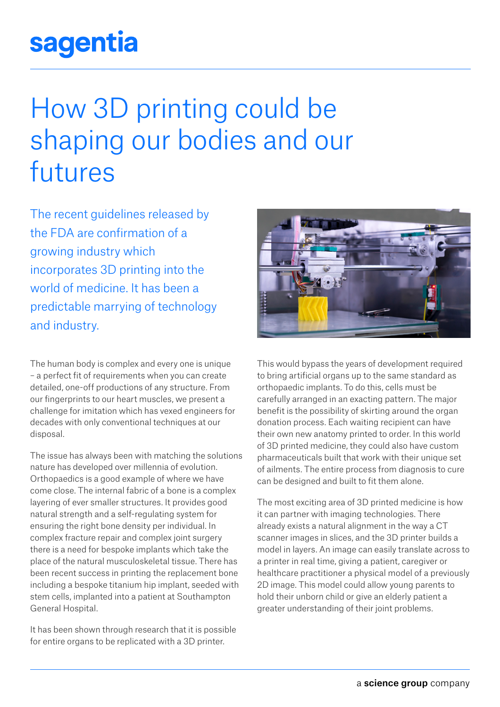## sagentia

## How 3D printing could be shaping our bodies and our futures

The recent guidelines released by the FDA are confirmation of a growing industry which incorporates 3D printing into the world of medicine. It has been a predictable marrying of technology and industry.

The human body is complex and every one is unique – a perfect fit of requirements when you can create detailed, one-off productions of any structure. From our fingerprints to our heart muscles, we present a challenge for imitation which has vexed engineers for decades with only conventional techniques at our disposal.

The issue has always been with matching the solutions nature has developed over millennia of evolution. Orthopaedics is a good example of where we have come close. The internal fabric of a bone is a complex layering of ever smaller structures. It provides good natural strength and a self-regulating system for ensuring the right bone density per individual. In complex fracture repair and complex joint surgery there is a need for bespoke implants which take the place of the natural musculoskeletal tissue. There has been recent success in printing the replacement bone including a bespoke titanium hip implant, seeded with stem cells, implanted into a patient at Southampton General Hospital.

It has been shown through research that it is possible for entire organs to be replicated with a 3D printer.



This would bypass the years of development required to bring artificial organs up to the same standard as orthopaedic implants. To do this, cells must be carefully arranged in an exacting pattern. The major benefit is the possibility of skirting around the organ donation process. Each waiting recipient can have their own new anatomy printed to order. In this world of 3D printed medicine, they could also have custom pharmaceuticals built that work with their unique set of ailments. The entire process from diagnosis to cure can be designed and built to fit them alone.

The most exciting area of 3D printed medicine is how it can partner with imaging technologies. There already exists a natural alignment in the way a CT scanner images in slices, and the 3D printer builds a model in layers. An image can easily translate across to a printer in real time, giving a patient, caregiver or healthcare practitioner a physical model of a previously 2D image. This model could allow young parents to hold their unborn child or give an elderly patient a greater understanding of their joint problems.